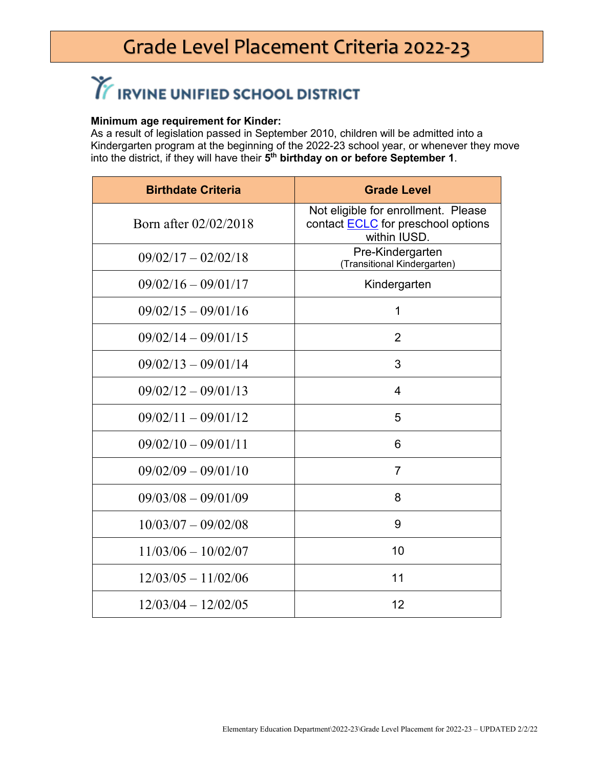### Grade Level Placement Criteria 2022-23

# TE IRVINE UNIFIED SCHOOL DISTRICT

#### **Minimum age requirement for Kinder:**

As a result of legislation passed in September 2010, children will be admitted into a Kindergarten program at the beginning of the 2022-23 school year, or whenever they move into the district, if they will have their **5th birthday on or before September 1**.

| <b>Birthdate Criteria</b> | <b>Grade Level</b>                                                                               |
|---------------------------|--------------------------------------------------------------------------------------------------|
| Born after 02/02/2018     | Not eligible for enrollment. Please<br>contact <b>ECLC</b> for preschool options<br>within IUSD. |
| $09/02/17 - 02/02/18$     | Pre-Kindergarten<br>(Transitional Kindergarten)                                                  |
| $09/02/16 - 09/01/17$     | Kindergarten                                                                                     |
| $09/02/15 - 09/01/16$     | 1                                                                                                |
| $09/02/14 - 09/01/15$     | $\overline{2}$                                                                                   |
| $09/02/13 - 09/01/14$     | 3                                                                                                |
| $09/02/12 - 09/01/13$     | 4                                                                                                |
| $09/02/11 - 09/01/12$     | 5                                                                                                |
| $09/02/10 - 09/01/11$     | 6                                                                                                |
| $09/02/09 - 09/01/10$     | $\overline{7}$                                                                                   |
| $09/03/08 - 09/01/09$     | 8                                                                                                |
| $10/03/07 - 09/02/08$     | 9                                                                                                |
| $11/03/06 - 10/02/07$     | 10                                                                                               |
| $12/03/05 - 11/02/06$     | 11                                                                                               |
| $12/03/04 - 12/02/05$     | 12                                                                                               |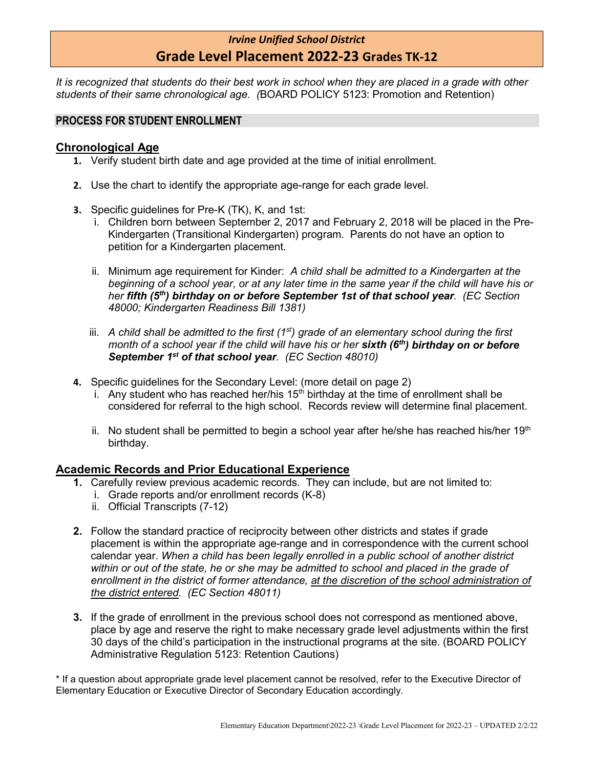#### *Irvine Unified School District* **Grade Level Placement 2022-23 Grades TK-12**

*It is recognized that students do their best work in school when they are placed in a grade with other students of their same chronological age. (*BOARD POLICY 5123: Promotion and Retention)

#### **PROCESS FOR STUDENT ENROLLMENT**

#### **Chronological Age**

- **1.** Verify student birth date and age provided at the time of initial enrollment.
- **2.** Use the chart to identify the appropriate age-range for each grade level.
- **3.** Specific guidelines for Pre-K (TK), K, and 1st:
	- i. Children born between September 2, 2017 and February 2, 2018 will be placed in the Pre-Kindergarten (Transitional Kindergarten) program. Parents do not have an option to petition for a Kindergarten placement.
	- ii. Minimum age requirement for Kinder: *A child shall be admitted to a Kindergarten at the beginning of a school year, or at any later time in the same year if the child will have his or her fifth (5th) birthday on or before September 1st of that school year. (EC Section 48000; Kindergarten Readiness Bill 1381)*
	- iii. A child shall be admitted to the first (1<sup>st</sup>) grade of an elementary school during the first *month of a school year if the child will have his or her sixth (6th) birthday on or before September 1st of that school year. (EC Section 48010)*
- **4.** Specific guidelines for the Secondary Level: (more detail on page 2)
	- i. Any student who has reached her/his  $15<sup>th</sup>$  birthday at the time of enrollment shall be considered for referral to the high school. Records review will determine final placement.
	- ii. No student shall be permitted to begin a school year after he/she has reached his/her  $19<sup>th</sup>$ birthday.

#### **Academic Records and Prior Educational Experience**

- **1.** Carefully review previous academic records. They can include, but are not limited to:
	- i. Grade reports and/or enrollment records (K-8)
	- ii. Official Transcripts (7-12)
- **2.** Follow the standard practice of reciprocity between other districts and states if grade placement is within the appropriate age-range and in correspondence with the current school calendar year. *When a child has been legally enrolled in a public school of another district within or out of the state, he or she may be admitted to school and placed in the grade of*  enrollment in the district of former attendance, at the discretion of the school administration of *the district entered. (EC Section 48011)*
- **3.** If the grade of enrollment in the previous school does not correspond as mentioned above, place by age and reserve the right to make necessary grade level adjustments within the first 30 days of the child's participation in the instructional programs at the site. (BOARD POLICY Administrative Regulation 5123: Retention Cautions)

\* If a question about appropriate grade level placement cannot be resolved, refer to the Executive Director of Elementary Education or Executive Director of Secondary Education accordingly.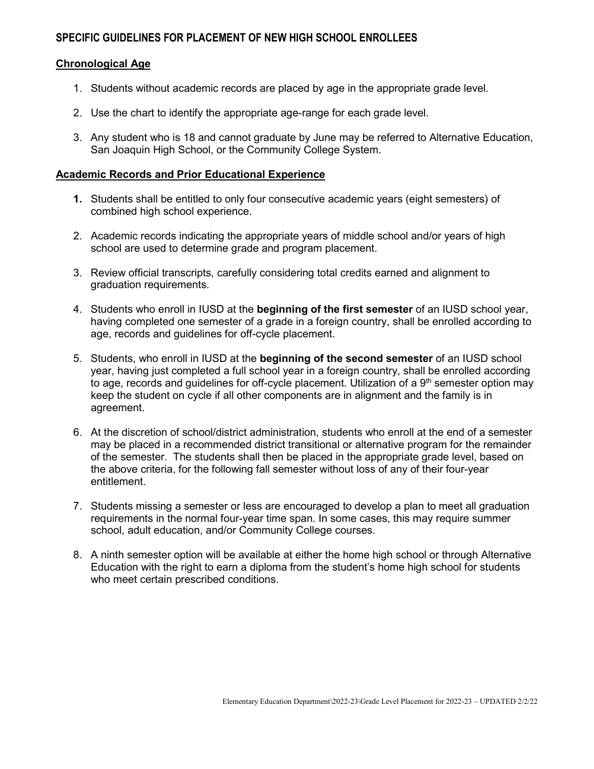#### **SPECIFIC GUIDELINES FOR PLACEMENT OF NEW HIGH SCHOOL ENROLLEES**

#### **Chronological Age**

- 1. Students without academic records are placed by age in the appropriate grade level.
- 2. Use the chart to identify the appropriate age-range for each grade level.
- 3. Any student who is 18 and cannot graduate by June may be referred to Alternative Education, San Joaquin High School, or the Community College System.

#### **Academic Records and Prior Educational Experience**

- **1.** Students shall be entitled to only four consecutive academic years (eight semesters) of combined high school experience.
- 2. Academic records indicating the appropriate years of middle school and/or years of high school are used to determine grade and program placement.
- 3. Review official transcripts, carefully considering total credits earned and alignment to graduation requirements.
- 4. Students who enroll in IUSD at the **beginning of the first semester** of an IUSD school year, having completed one semester of a grade in a foreign country, shall be enrolled according to age, records and guidelines for off-cycle placement.
- 5. Students, who enroll in IUSD at the **beginning of the second semester** of an IUSD school year, having just completed a full school year in a foreign country, shall be enrolled according to age, records and guidelines for off-cycle placement. Utilization of a  $9<sup>th</sup>$  semester option may keep the student on cycle if all other components are in alignment and the family is in agreement.
- 6. At the discretion of school/district administration, students who enroll at the end of a semester may be placed in a recommended district transitional or alternative program for the remainder of the semester. The students shall then be placed in the appropriate grade level, based on the above criteria, for the following fall semester without loss of any of their four-year entitlement.
- 7. Students missing a semester or less are encouraged to develop a plan to meet all graduation requirements in the normal four-year time span. In some cases, this may require summer school, adult education, and/or Community College courses.
- 8. A ninth semester option will be available at either the home high school or through Alternative Education with the right to earn a diploma from the student's home high school for students who meet certain prescribed conditions.